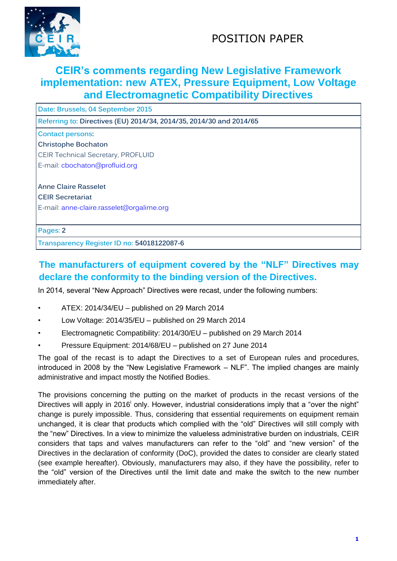

# POSITION PAPER

### **CEIR's comments regarding New Legislative Framework implementation: new ATEX, Pressure Equipment, Low Voltage and Electromagnetic Compatibility Directives**

**Date: Brussels, 04 September 2015**

**Referring to: Directives (EU) 2014/34, 2014/35, 2014/30 and 2014/65**

#### **Contact persons:**

**Christophe Bochaton**

CEIR Technical Secretary, PROFLUID

E-mail: [cbochaton@profluid.org](mailto:cbochaton@profluid.org)

**Anne Claire Rasselet**

**CEIR Secretariat** 

E-mail: [anne-claire.rasselet@orgalime.org](mailto:anne-claire.rasselet@orgalime.org)

**Pages: 2**

**Transparency Register ID no: 54018122087-6**

### **The manufacturers of equipment covered by the "NLF" Directives may declare the conformity to the binding version of the Directives.**

In 2014, several "New Approach" Directives were recast, under the following numbers:

- ATEX: 2014/34/EU published on 29 March 2014
- Low Voltage: 2014/35/EU published on 29 March 2014
- Electromagnetic Compatibility: 2014/30/EU published on 29 March 2014
- Pressure Equipment: 2014/68/EU published on 27 June 2014

The goal of the recast is to adapt the Directives to a set of European rules and procedures, introduced in 2008 by the "New Legislative Framework – NLF". The implied changes are mainly administrative and impact mostly the Notified Bodies.

The provisions concerning the putting on the market of products in the recast versions of the Directives will apply in 2016<sup>i</sup> only. However, industrial considerations imply that a "over the night" change is purely impossible. Thus, considering that essential requirements on equipment remain unchanged, it is clear that products which complied with the "old" Directives will still comply with the "new" Directives. In a view to minimize the valueless administrative burden on industrials, CEIR considers that taps and valves manufacturers can refer to the "old" and "new version" of the Directives in the declaration of conformity (DoC), provided the dates to consider are clearly stated (see example hereafter). Obviously, manufacturers may also, if they have the possibility, refer to the "old" version of the Directives until the limit date and make the switch to the new number immediately after.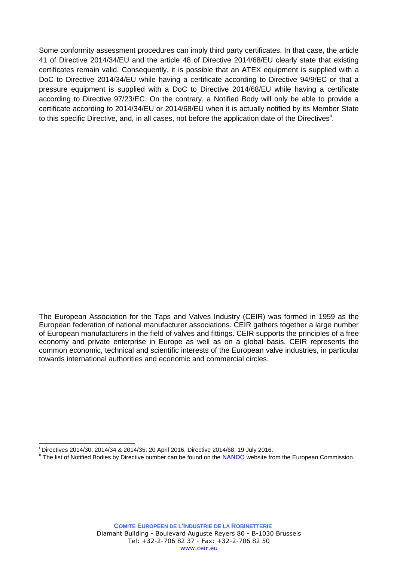Some conformity assessment procedures can imply third party certificates. In that case, the article 41 of Directive 2014/34/EU and the article 48 of Directive 2014/68/EU clearly state that existing certificates remain valid. Consequently, it is possible that an ATEX equipment is supplied with a DoC to Directive 2014/34/EU while having a certificate according to Directive 94/9/EC or that a pressure equipment is supplied with a DoC to Directive 2014/68/EU while having a certificate according to Directive 97/23/EC. On the contrary, a Notified Body will only be able to provide a certificate according to 2014/34/EU or 2014/68/EU when it is actually notified by its Member State to this specific Directive, and, in all cases, not before the application date of the Directives<sup>ii</sup>.

The European Association for the Taps and Valves Industry (CEIR) was formed in 1959 as the European federation of national manufacturer associations. CEIR gathers together a large number of European manufacturers in the field of valves and fittings. CEIR supports the principles of a free economy and private enterprise in Europe as well as on a global basis. CEIR represents the common economic, technical and scientific interests of the European valve industries, in particular towards international authorities and economic and commercial circles.

1

Directives 2014/30, 2014/34 & 2014/35: 20 April 2016, Directive 2014/68: 19 July 2016.

<sup>&</sup>lt;sup>ii</sup> The list of Notified Bodies by Directive number can be found on the [NANDO](http://ec.europa.eu/enterprise/newapproach/nando/index.cfm?fuseaction=directive.main) website from the European Commission.